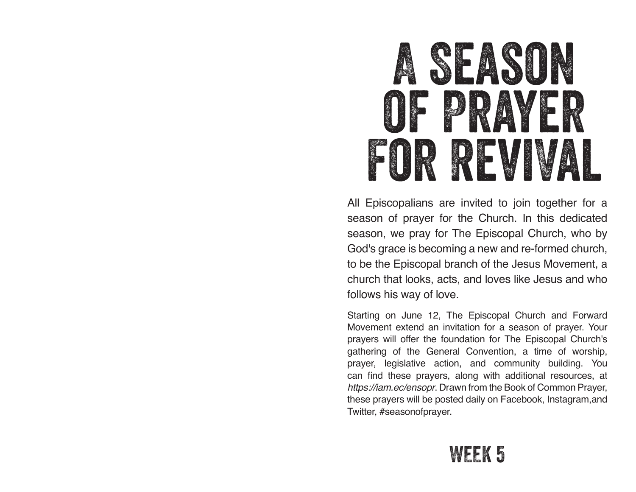## **SEASON** of Prayer FOR REVI

All Episcopalians are invited to join together for a season of prayer for the Church. In this dedicated season, we pray for The Episcopal Church, who by God's grace is becoming a new and re-formed church, to be the Episcopal branch of the Jesus Movement, a church that looks, acts, and loves like Jesus and who follows his way of love.

Starting on June 12, The Episcopal Church and Forward Movement extend an invitation for a season of prayer. Your prayers will offer the foundation for The Episcopal Church's gathering of the General Convention, a time of worship, prayer, legislative action, and community building. You can find these prayers, along with additional resources, at *https://iam.ec/ensopr*. Drawn from the Book of Common Prayer, these prayers will be posted daily on Facebook, Instagram,and Twitter, #seasonofprayer.